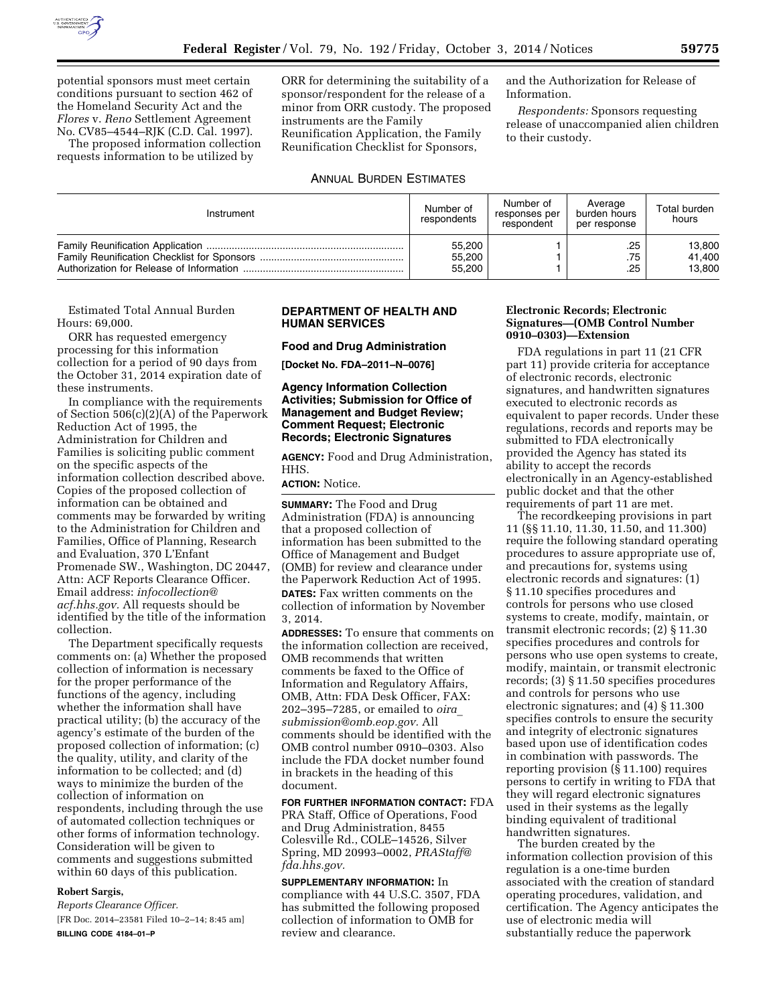

potential sponsors must meet certain conditions pursuant to section 462 of the Homeland Security Act and the *Flores* v. *Reno* Settlement Agreement No. CV85–4544–RJK (C.D. Cal. 1997).

The proposed information collection requests information to be utilized by

ORR for determining the suitability of a sponsor/respondent for the release of a minor from ORR custody. The proposed instruments are the Family Reunification Application, the Family Reunification Checklist for Sponsors,

## ANNUAL BURDEN ESTIMATES

and the Authorization for Release of Information.

*Respondents:* Sponsors requesting release of unaccompanied alien children to their custody.

| Instrument | Number of<br>respondents | Number of<br>responses per<br>respondent | Average<br>burden hours<br>per response | Total burden<br>hours |
|------------|--------------------------|------------------------------------------|-----------------------------------------|-----------------------|
|            | 55,200                   |                                          | .25                                     | 13,800                |
|            | 55,200                   |                                          | .75                                     | 41.400                |
|            | 55,200                   |                                          | .25                                     | 13.800                |

Estimated Total Annual Burden Hours: 69,000.

ORR has requested emergency processing for this information collection for a period of 90 days from the October 31, 2014 expiration date of these instruments.

In compliance with the requirements of Section 506(c)(2)(A) of the Paperwork Reduction Act of 1995, the Administration for Children and Families is soliciting public comment on the specific aspects of the information collection described above. Copies of the proposed collection of information can be obtained and comments may be forwarded by writing to the Administration for Children and Families, Office of Planning, Research and Evaluation, 370 L'Enfant Promenade SW., Washington, DC 20447, Attn: ACF Reports Clearance Officer. Email address: *[infocollection@](mailto:infocollection@acf.hhs.gov) [acf.hhs.gov.](mailto:infocollection@acf.hhs.gov)* All requests should be identified by the title of the information collection.

The Department specifically requests comments on: (a) Whether the proposed collection of information is necessary for the proper performance of the functions of the agency, including whether the information shall have practical utility; (b) the accuracy of the agency's estimate of the burden of the proposed collection of information; (c) the quality, utility, and clarity of the information to be collected; and (d) ways to minimize the burden of the collection of information on respondents, including through the use of automated collection techniques or other forms of information technology. Consideration will be given to comments and suggestions submitted within 60 days of this publication.

### **Robert Sargis,**

*Reports Clearance Officer.*  [FR Doc. 2014–23581 Filed 10–2–14; 8:45 am] **BILLING CODE 4184–01–P** 

### **DEPARTMENT OF HEALTH AND HUMAN SERVICES**

**Food and Drug Administration [Docket No. FDA–2011–N–0076]** 

**Agency Information Collection** 

# **Activities; Submission for Office of Management and Budget Review; Comment Request; Electronic Records; Electronic Signatures**

**AGENCY:** Food and Drug Administration, HHS.

**ACTION:** Notice.

**SUMMARY:** The Food and Drug Administration (FDA) is announcing that a proposed collection of information has been submitted to the Office of Management and Budget (OMB) for review and clearance under the Paperwork Reduction Act of 1995. **DATES:** Fax written comments on the collection of information by November 3, 2014.

**ADDRESSES:** To ensure that comments on the information collection are received, OMB recommends that written comments be faxed to the Office of Information and Regulatory Affairs, OMB, Attn: FDA Desk Officer, FAX: 202–395–7285, or emailed to *[oira](mailto:oira_submission@omb.eop.gov)*\_ *[submission@omb.eop.gov.](mailto:oira_submission@omb.eop.gov)* All comments should be identified with the OMB control number 0910–0303. Also include the FDA docket number found in brackets in the heading of this document.

**FOR FURTHER INFORMATION CONTACT:** FDA PRA Staff, Office of Operations, Food and Drug Administration, 8455 Colesville Rd., COLE–14526, Silver Spring, MD 20993–0002, *[PRAStaff@](mailto:PRAStaff@fda.hhs.gov) [fda.hhs.gov.](mailto:PRAStaff@fda.hhs.gov)* 

**SUPPLEMENTARY INFORMATION:** In compliance with 44 U.S.C. 3507, FDA has submitted the following proposed collection of information to OMB for review and clearance.

## **Electronic Records; Electronic Signatures—(OMB Control Number 0910–0303)—Extension**

FDA regulations in part 11 (21 CFR part 11) provide criteria for acceptance of electronic records, electronic signatures, and handwritten signatures executed to electronic records as equivalent to paper records. Under these regulations, records and reports may be submitted to FDA electronically provided the Agency has stated its ability to accept the records electronically in an Agency-established public docket and that the other requirements of part 11 are met.

The recordkeeping provisions in part 11 (§§ 11.10, 11.30, 11.50, and 11.300) require the following standard operating procedures to assure appropriate use of, and precautions for, systems using electronic records and signatures: (1) § 11.10 specifies procedures and controls for persons who use closed systems to create, modify, maintain, or transmit electronic records; (2) § 11.30 specifies procedures and controls for persons who use open systems to create, modify, maintain, or transmit electronic records; (3) § 11.50 specifies procedures and controls for persons who use electronic signatures; and (4) § 11.300 specifies controls to ensure the security and integrity of electronic signatures based upon use of identification codes in combination with passwords. The reporting provision (§ 11.100) requires persons to certify in writing to FDA that they will regard electronic signatures used in their systems as the legally binding equivalent of traditional handwritten signatures.

The burden created by the information collection provision of this regulation is a one-time burden associated with the creation of standard operating procedures, validation, and certification. The Agency anticipates the use of electronic media will substantially reduce the paperwork